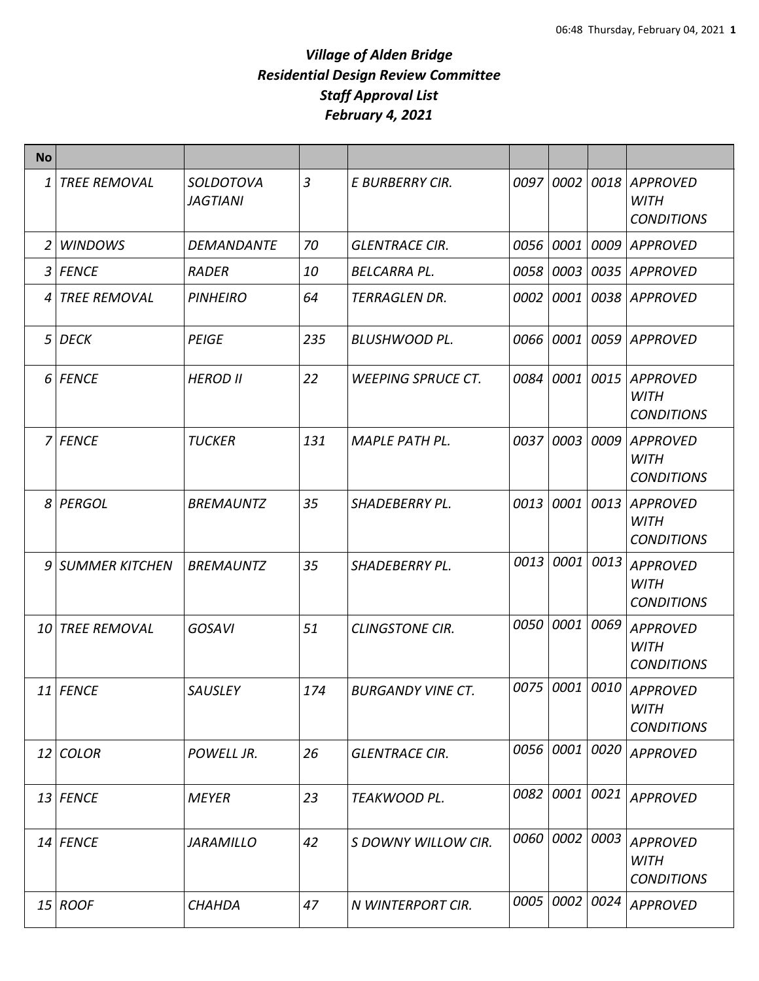| <b>No</b> |                     |                                     |     |                           |      |                |      |                                                     |
|-----------|---------------------|-------------------------------------|-----|---------------------------|------|----------------|------|-----------------------------------------------------|
| 1         | <b>TREE REMOVAL</b> | <b>SOLDOTOVA</b><br><b>JAGTIANI</b> | 3   | E BURBERRY CIR.           |      | 0097 0002      | 0018 | <b>APPROVED</b><br><b>WITH</b><br><b>CONDITIONS</b> |
| 2         | <b>WINDOWS</b>      | DEMANDANTE                          | 70  | <b>GLENTRACE CIR.</b>     |      | 0056 0001      | 0009 | <b>APPROVED</b>                                     |
| 3         | <b>FENCE</b>        | RADER                               | 10  | <b>BELCARRA PL.</b>       | 0058 | 0003           | 0035 | <b>APPROVED</b>                                     |
| 4         | <b>TREE REMOVAL</b> | <b>PINHEIRO</b>                     | 64  | <b>TERRAGLEN DR.</b>      | 0002 | 0001           | 0038 | <b>APPROVED</b>                                     |
| 5         | <b>DECK</b>         | PEIGE                               | 235 | <b>BLUSHWOOD PL.</b>      |      | 0066 0001      | 0059 | <b>APPROVED</b>                                     |
|           | 6 FENCE             | <b>HEROD II</b>                     | 22  | <b>WEEPING SPRUCE CT.</b> |      | 0084 0001 0015 |      | <b>APPROVED</b><br><b>WITH</b><br><b>CONDITIONS</b> |
|           | 7 FENCE             | <b>TUCKER</b>                       | 131 | <b>MAPLE PATH PL.</b>     | 0037 | 0003           | 0009 | <b>APPROVED</b><br><b>WITH</b><br><b>CONDITIONS</b> |
|           | 8 PERGOL            | <b>BREMAUNTZ</b>                    | 35  | <b>SHADEBERRY PL.</b>     | 0013 | 0001 0013      |      | <b>APPROVED</b><br><b>WITH</b><br><b>CONDITIONS</b> |
|           | 9 SUMMER KITCHEN    | <b>BREMAUNTZ</b>                    | 35  | <b>SHADEBERRY PL.</b>     | 0013 | 0001           | 0013 | <b>APPROVED</b><br><b>WITH</b><br><b>CONDITIONS</b> |
| 10        | <b>TREE REMOVAL</b> | <b>GOSAVI</b>                       | 51  | <b>CLINGSTONE CIR.</b>    | 0050 | 0001           | 0069 | <b>APPROVED</b><br><b>WITH</b><br><b>CONDITIONS</b> |
|           | 11 FENCE            | <b>SAUSLEY</b>                      | 174 | <b>BURGANDY VINE CT.</b>  | 0075 | 0001           | 0010 | <b>APPROVED</b><br><b>WITH</b><br><b>CONDITIONS</b> |
|           | 12 COLOR            | POWELL JR.                          | 26  | <b>GLENTRACE CIR.</b>     |      | 0056 0001 0020 |      | <b>APPROVED</b>                                     |
|           | $13$ FENCE          | <b>MEYER</b>                        | 23  | TEAKWOOD PL.              |      | 0082 0001 0021 |      | <b>APPROVED</b>                                     |
|           | $14$ FENCE          | <b>JARAMILLO</b>                    | 42  | S DOWNY WILLOW CIR.       |      | 0060 0002 0003 |      | <b>APPROVED</b><br><b>WITH</b><br><b>CONDITIONS</b> |
|           | 15 ROOF             | <b>CHAHDA</b>                       | 47  | N WINTERPORT CIR.         |      | 0005 0002 0024 |      | <b>APPROVED</b>                                     |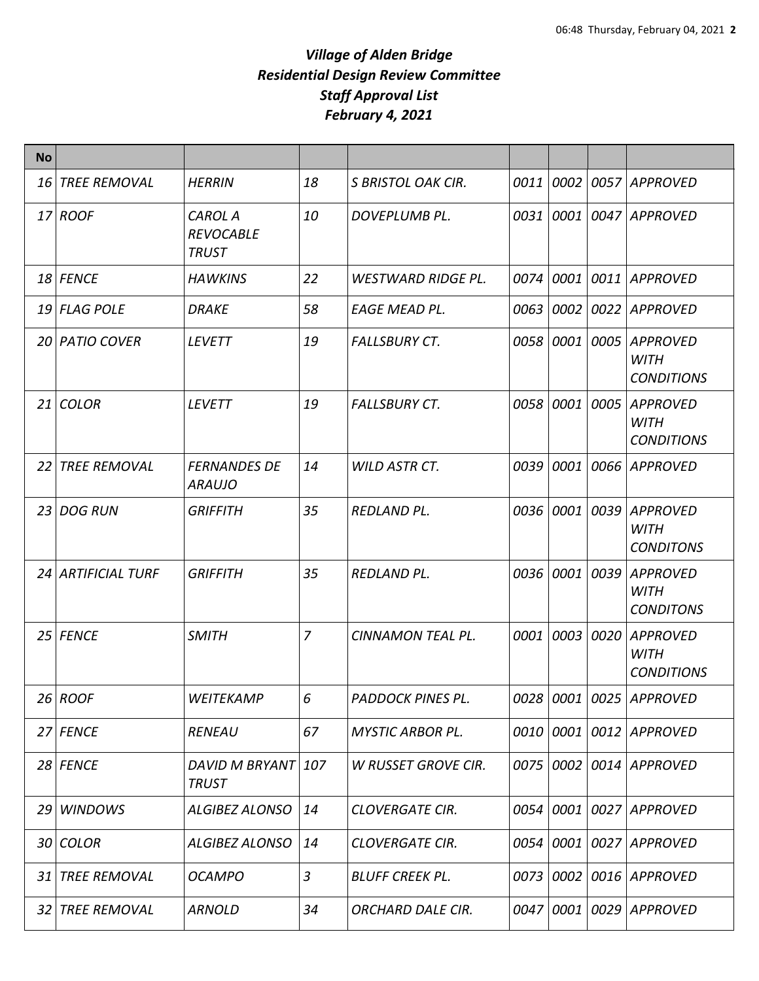| <b>No</b>       |                     |                                                    |    |                           |           |           |      |                                                     |
|-----------------|---------------------|----------------------------------------------------|----|---------------------------|-----------|-----------|------|-----------------------------------------------------|
| 16              | <b>TREE REMOVAL</b> | <b>HERRIN</b>                                      | 18 | <b>S BRISTOL OAK CIR.</b> | 0011      | 0002      | 0057 | <b>APPROVED</b>                                     |
|                 | 17 ROOF             | <b>CAROL A</b><br><b>REVOCABLE</b><br><b>TRUST</b> | 10 | DOVEPLUMB PL.             |           | 0031 0001 | 0047 | <b>APPROVED</b>                                     |
|                 | 18 FENCE            | <b>HAWKINS</b>                                     | 22 | <b>WESTWARD RIDGE PL.</b> |           | 0074 0001 | 0011 | <b>APPROVED</b>                                     |
|                 | 19 FLAG POLE        | <b>DRAKE</b>                                       | 58 | EAGE MEAD PL.             |           | 0063 0002 | 0022 | <b>APPROVED</b>                                     |
|                 | 20 PATIO COVER      | <b>LEVETT</b>                                      | 19 | <b>FALLSBURY CT.</b>      |           | 0058 0001 | 0005 | <b>APPROVED</b><br><b>WITH</b><br><b>CONDITIONS</b> |
| 21              | <b>COLOR</b>        | <b>LEVETT</b>                                      | 19 | <b>FALLSBURY CT.</b>      | 0058 0001 |           | 0005 | <b>APPROVED</b><br><b>WITH</b><br><b>CONDITIONS</b> |
| 22              | <b>TREE REMOVAL</b> | <b>FERNANDES DE</b><br><i><b>ARAUJO</b></i>        | 14 | WILD ASTR CT.             | 0039      | 0001      | 0066 | <b>APPROVED</b>                                     |
| 23 <sup>1</sup> | <b>DOG RUN</b>      | <b>GRIFFITH</b>                                    | 35 | REDLAND PL.               | 0036 0001 |           | 0039 | <b>APPROVED</b><br><b>WITH</b><br><b>CONDITONS</b>  |
|                 | 24 ARTIFICIAL TURF  | <b>GRIFFITH</b>                                    | 35 | <b>REDLAND PL.</b>        | 0036 0001 |           | 0039 | <b>APPROVED</b><br>WITH<br><b>CONDITONS</b>         |
| 25              | <b>FENCE</b>        | <b>SMITH</b>                                       | 7  | <b>CINNAMON TEAL PL.</b>  | 0001      | 0003      | 0020 | <b>APPROVED</b><br><b>WITH</b><br><b>CONDITIONS</b> |
|                 | $26$ ROOF           | WEITEKAMP                                          | 6  | PADDOCK PINES PL.         |           |           |      | 0028 0001 0025 APPROVED                             |
|                 | 27 FENCE            | <b>RENEAU</b>                                      | 67 | <b>MYSTIC ARBOR PL.</b>   |           | 0010 0001 | 0012 | <b>APPROVED</b>                                     |
|                 | 28 FENCE            | DAVID M BRYANT 107<br><b>TRUST</b>                 |    | W RUSSET GROVE CIR.       |           |           |      | 0075   0002   0014   APPROVED                       |
| 29              | <b>WINDOWS</b>      | <b>ALGIBEZ ALONSO</b>                              | 14 | <b>CLOVERGATE CIR.</b>    |           | 0054 0001 | 0027 | APPROVED                                            |
|                 | 30 COLOR            | <b>ALGIBEZ ALONSO</b>                              | 14 | <b>CLOVERGATE CIR.</b>    |           | 0054 0001 |      | 0027 APPROVED                                       |
| 31              | <b>TREE REMOVAL</b> | <b>OCAMPO</b>                                      | 3  | <b>BLUFF CREEK PL.</b>    |           | 0073 0002 |      | 0016 APPROVED                                       |
| 32              | <b>TREE REMOVAL</b> | <b>ARNOLD</b>                                      | 34 | <b>ORCHARD DALE CIR.</b>  |           | 0047 0001 | 0029 | <b>APPROVED</b>                                     |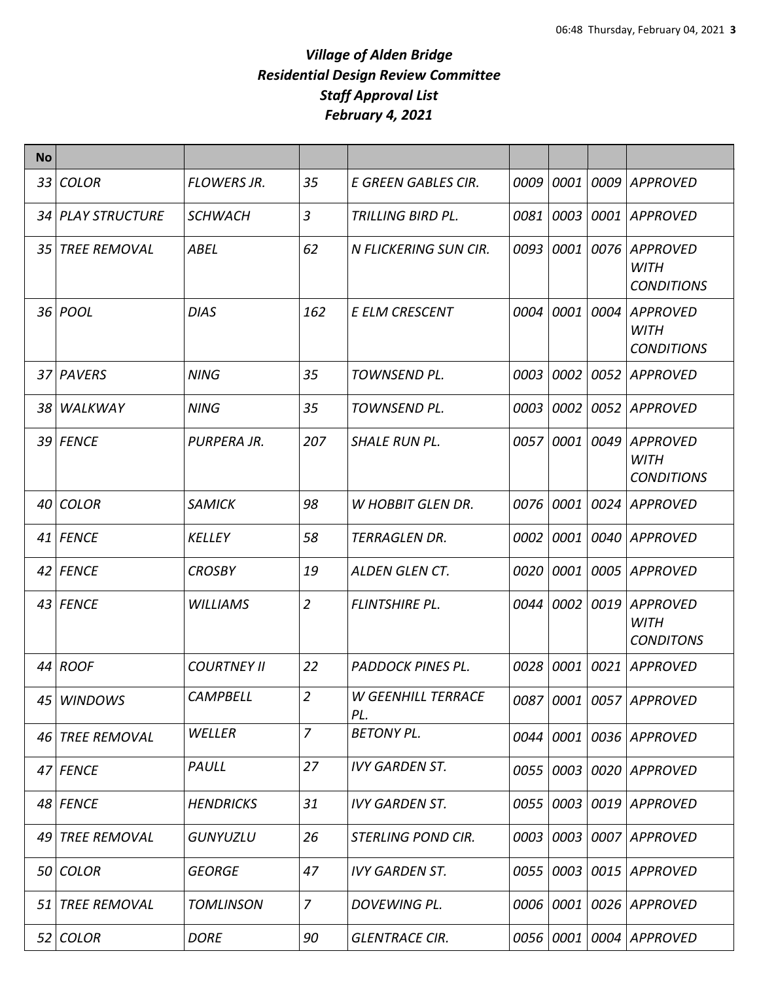| <b>No</b> |                     |                    |                          |                                  |           |           |      |                                                     |
|-----------|---------------------|--------------------|--------------------------|----------------------------------|-----------|-----------|------|-----------------------------------------------------|
|           | 33 COLOR            | <b>FLOWERS JR.</b> | 35                       | E GREEN GABLES CIR.              | 0009      | 0001      | 0009 | <b>APPROVED</b>                                     |
|           | 34 PLAY STRUCTURE   | <b>SCHWACH</b>     | $\overline{3}$           | TRILLING BIRD PL.                | 0081      | 0003      | 0001 | <b>APPROVED</b>                                     |
| 35.       | <b>TREE REMOVAL</b> | <b>ABEL</b>        | 62                       | N FLICKERING SUN CIR.            | 0093 0001 |           | 0076 | <b>APPROVED</b><br><b>WITH</b><br><b>CONDITIONS</b> |
|           | 36 POOL             | <b>DIAS</b>        | 162                      | <b>E ELM CRESCENT</b>            | 0004      | 0001      | 0004 | <b>APPROVED</b><br><b>WITH</b><br><b>CONDITIONS</b> |
|           | 37 PAVERS           | <b>NING</b>        | 35                       | TOWNSEND PL.                     | 0003      | 0002      | 0052 | <b>APPROVED</b>                                     |
|           | 38 WALKWAY          | <b>NING</b>        | 35                       | TOWNSEND PL.                     | 0003      | 0002      | 0052 | <b>APPROVED</b>                                     |
|           | 39 FENCE            | PURPERA JR.        | 207                      | <b>SHALE RUN PL.</b>             | 0057 0001 |           | 0049 | <b>APPROVED</b><br><b>WITH</b><br><b>CONDITIONS</b> |
| 40 I      | <b>COLOR</b>        | <b>SAMICK</b>      | 98                       | <b>W HOBBIT GLEN DR.</b>         | 0076 0001 |           | 0024 | <b>APPROVED</b>                                     |
|           | 41 FENCE            | <b>KELLEY</b>      | 58                       | TERRAGLEN DR.                    |           | 0002 0001 | 0040 | <b>APPROVED</b>                                     |
|           | 42 FENCE            | <b>CROSBY</b>      | 19                       | <b>ALDEN GLEN CT.</b>            | 0020      | 0001      | 0005 | <b>APPROVED</b>                                     |
|           | 43 FENCE            | <b>WILLIAMS</b>    | $\overline{2}$           | <b>FLINTSHIRE PL.</b>            | 0044 0002 |           | 0019 | <b>APPROVED</b><br><b>WITH</b><br><b>CONDITONS</b>  |
|           | 44 ROOF             | <b>COURTNEY II</b> | 22                       | PADDOCK PINES PL.                |           | 0028 0001 | 0021 | <b>APPROVED</b>                                     |
|           | 45 WINDOWS          | <b>CAMPBELL</b>    | $\overline{\mathcal{L}}$ | <b>W GEENHILL TERRACE</b><br>PL. |           |           |      | 0087 0001 0057 APPROVED                             |
|           | 46 TREE REMOVAL     | WELLER             | $\overline{7}$           | <b>BETONY PL.</b>                |           | 0044 0001 |      | 0036 APPROVED                                       |
|           | 47 FENCE            | PAULL              | 27                       | <b>IVY GARDEN ST.</b>            |           | 0055 0003 |      | 0020 APPROVED                                       |
|           | 48 FENCE            | <b>HENDRICKS</b>   | 31                       | <b>IVY GARDEN ST.</b>            |           | 0055 0003 |      | 0019 APPROVED                                       |
|           | 49 TREE REMOVAL     | <b>GUNYUZLU</b>    | 26                       | <b>STERLING POND CIR.</b>        |           | 0003 0003 |      | 0007 APPROVED                                       |
|           | 50 COLOR            | <b>GEORGE</b>      | 47                       | <b>IVY GARDEN ST.</b>            |           | 0055 0003 | 0015 | <b>APPROVED</b>                                     |
| 51        | <b>TREE REMOVAL</b> | <b>TOMLINSON</b>   | $\overline{7}$           | DOVEWING PL.                     |           | 0006 0001 | 0026 | <b>APPROVED</b>                                     |
|           | 52 COLOR            | <b>DORE</b>        | 90                       | <b>GLENTRACE CIR.</b>            |           | 0056 0001 |      | 0004 APPROVED                                       |